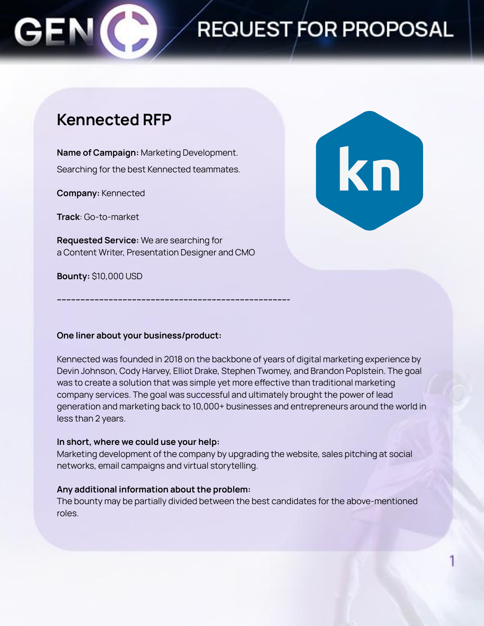# REQUEST FOR PROPOSAL

### **Kennected RFP**

**Name of Campaign:** Marketing Development. Searching for the best Kennected teammates.

**Company:** Kennected

**Track**: Go-to-market

**Requested Service:** We are searching for a Content Writer, Presentation Designer and CMO

**--------------------------------------------------------------------------------------------------**

**Bounty:** \$10,000 USD



#### **One liner about your business/product:**

Kennected was founded in 2018 on the backbone of years of digital marketing experience by Devin Johnson, Cody Harvey, Elliot Drake, Stephen Twomey, and Brandon Poplstein. The goal was to create a solution that was simple yet more effective than traditional marketing company services. The goal was successful and ultimately brought the power of lead generation and marketing back to 10,000+ businesses and entrepreneurs around the world in less than 2 years.

#### **In short, where we could use your help:**

Marketing development of the company by upgrading the website, sales pitching at social networks, email campaigns and virtual storytelling.

#### **Any additional information about the problem:**

The bounty may be partially divided between the best candidates for the above-mentioned roles.